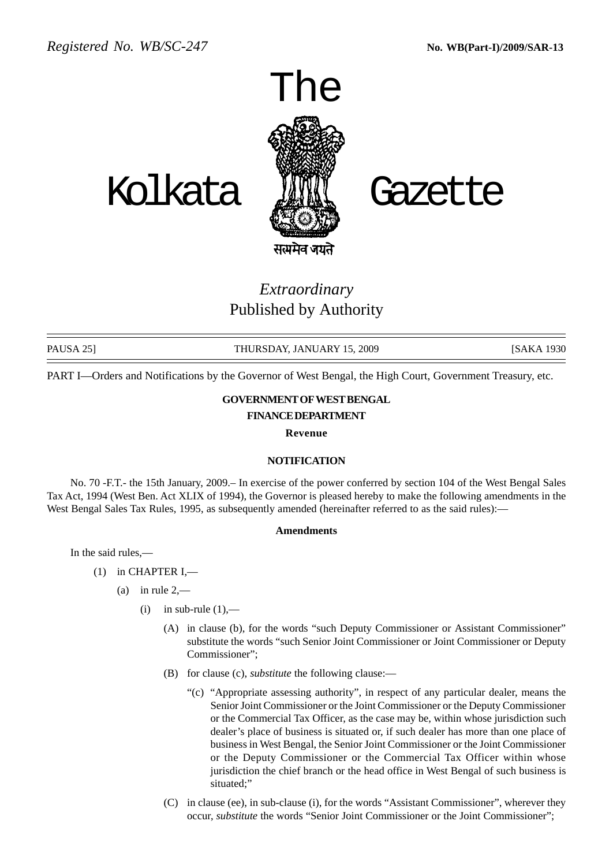

# *Extraordinary* Published by Authority

PAUSA 25] THURSDAY, JANUARY 15, 2009 [SAKA 1930

PART I—Orders and Notifications by the Governor of West Bengal, the High Court, Government Treasury, etc.

# **GOVERNMENT OF WEST BENGAL**

## **FINANCE DEPARTMENT**

**Revenue**

### **NOTIFICATION**

No. 70 -F.T.- the 15th January, 2009.– In exercise of the power conferred by section 104 of the West Bengal Sales Tax Act, 1994 (West Ben. Act XLIX of 1994), the Governor is pleased hereby to make the following amendments in the West Bengal Sales Tax Rules, 1995, as subsequently amended (hereinafter referred to as the said rules):—

#### **Amendments**

In the said rules,—

- (1) in CHAPTER I,—
	- (a) in rule  $2$ ,—
		- (i) in sub-rule  $(1)$ ,—
			- (A) in clause (b), for the words "such Deputy Commissioner or Assistant Commissioner" substitute the words "such Senior Joint Commissioner or Joint Commissioner or Deputy Commissioner";
			- (B) for clause (c), *substitute* the following clause:—
				- "(c) "Appropriate assessing authority", in respect of any particular dealer, means the Senior Joint Commissioner or the Joint Commissioner or the Deputy Commissioner or the Commercial Tax Officer, as the case may be, within whose jurisdiction such dealer's place of business is situated or, if such dealer has more than one place of business in West Bengal, the Senior Joint Commissioner or the Joint Commissioner or the Deputy Commissioner or the Commercial Tax Officer within whose jurisdiction the chief branch or the head office in West Bengal of such business is situated;"
			- (C) in clause (ee), in sub-clause (i), for the words "Assistant Commissioner", wherever they occur, *substitute* the words "Senior Joint Commissioner or the Joint Commissioner";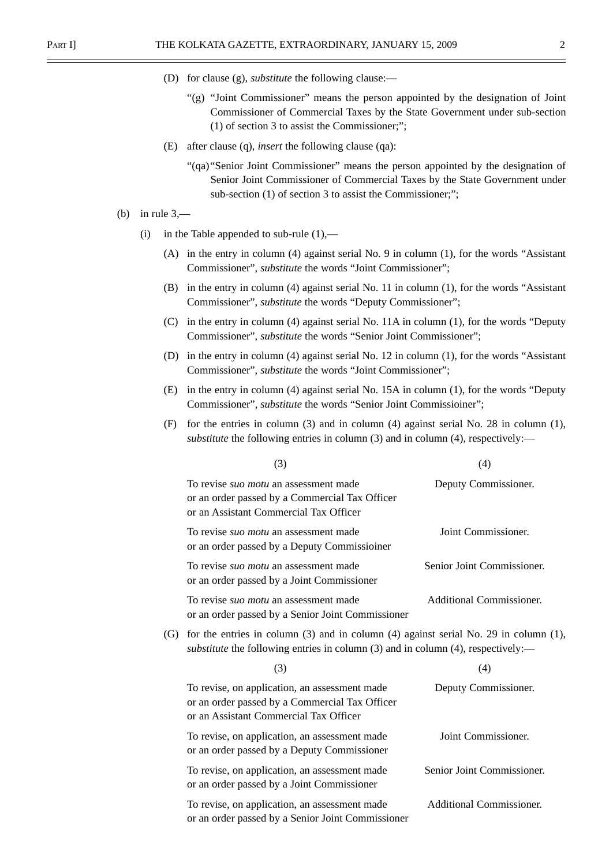- (D) for clause (g), *substitute* the following clause:—
	- "(g) "Joint Commissioner" means the person appointed by the designation of Joint Commissioner of Commercial Taxes by the State Government under sub-section (1) of section 3 to assist the Commissioner;";
- (E) after clause (q), *insert* the following clause (qa):
	- "(qa)"Senior Joint Commissioner" means the person appointed by the designation of Senior Joint Commissioner of Commercial Taxes by the State Government under sub-section (1) of section 3 to assist the Commissioner;";
- (b) in rule  $3$ ,—
	- (i) in the Table appended to sub-rule  $(1)$ ,—
		- (A) in the entry in column (4) against serial No. 9 in column (1), for the words "Assistant Commissioner", *substitute* the words "Joint Commissioner";
		- (B) in the entry in column (4) against serial No. 11 in column (1), for the words "Assistant Commissioner", *substitute* the words "Deputy Commissioner";
		- (C) in the entry in column (4) against serial No. 11A in column (1), for the words "Deputy Commissioner", *substitute* the words "Senior Joint Commissioner";
		- (D) in the entry in column (4) against serial No. 12 in column (1), for the words "Assistant Commissioner", *substitute* the words "Joint Commissioner";
		- (E) in the entry in column (4) against serial No. 15A in column (1), for the words "Deputy Commissioner", *substitute* the words "Senior Joint Commissioiner";
		- (F) for the entries in column (3) and in column (4) against serial No. 28 in column (1), *substitute* the following entries in column (3) and in column (4), respectively:—

|                   | (3)                                                                                                                                                                             | (4)                             |  |
|-------------------|---------------------------------------------------------------------------------------------------------------------------------------------------------------------------------|---------------------------------|--|
|                   | To revise <i>suo motu</i> an assessment made<br>or an order passed by a Commercial Tax Officer<br>or an Assistant Commercial Tax Officer                                        | Deputy Commissioner.            |  |
|                   | To revise <i>suo motu</i> an assessment made<br>or an order passed by a Deputy Commissioiner                                                                                    | Joint Commissioner.             |  |
|                   | To revise <i>suo motu</i> an assessment made<br>or an order passed by a Joint Commissioner                                                                                      | Senior Joint Commissioner.      |  |
|                   | To revise <i>suo motu</i> an assessment made<br>or an order passed by a Senior Joint Commissioner                                                                               | Additional Commissioner.        |  |
| $\left( G\right)$ | for the entries in column $(3)$ and in column $(4)$ against serial No. 29 in column $(1)$ ,<br>substitute the following entries in column (3) and in column (4), respectively:- |                                 |  |
|                   | (3)                                                                                                                                                                             | (4)                             |  |
|                   | To revise, on application, an assessment made<br>or an order passed by a Commercial Tax Officer<br>or an Assistant Commercial Tax Officer                                       | Deputy Commissioner.            |  |
|                   | To revise, on application, an assessment made<br>or an order passed by a Deputy Commissioner                                                                                    | Joint Commissioner.             |  |
|                   | To revise, on application, an assessment made<br>or an order passed by a Joint Commissioner                                                                                     | Senior Joint Commissioner.      |  |
|                   | To revise, on application, an assessment made<br>or an order passed by a Senior Joint Commissioner                                                                              | <b>Additional Commissioner.</b> |  |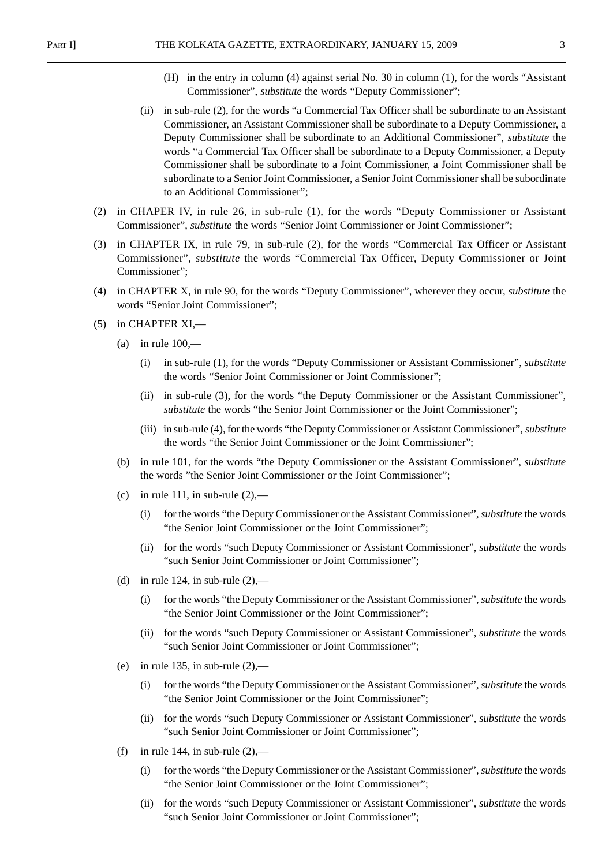- (H) in the entry in column (4) against serial No. 30 in column (1), for the words "Assistant Commissioner", *substitute* the words "Deputy Commissioner";
- (ii) in sub-rule (2), for the words "a Commercial Tax Officer shall be subordinate to an Assistant Commissioner, an Assistant Commissioner shall be subordinate to a Deputy Commissioner, a Deputy Commissioner shall be subordinate to an Additional Commissioner", *substitute* the words "a Commercial Tax Officer shall be subordinate to a Deputy Commissioner, a Deputy Commissioner shall be subordinate to a Joint Commissioner, a Joint Commissioner shall be subordinate to a Senior Joint Commissioner, a Senior Joint Commissioner shall be subordinate to an Additional Commissioner";
- (2) in CHAPER IV, in rule 26, in sub-rule (1), for the words "Deputy Commissioner or Assistant Commissioner", *substitute* the words "Senior Joint Commissioner or Joint Commissioner";
- (3) in CHAPTER IX, in rule 79, in sub-rule (2), for the words "Commercial Tax Officer or Assistant Commissioner", *substitute* the words "Commercial Tax Officer, Deputy Commissioner or Joint Commissioner";
- (4) in CHAPTER X, in rule 90, for the words "Deputy Commissioner", wherever they occur, *substitute* the words "Senior Joint Commissioner";
- (5) in CHAPTER XI,—
	- (a) in rule  $100$ ,—
		- (i) in sub-rule (1), for the words "Deputy Commissioner or Assistant Commissioner", *substitute* the words "Senior Joint Commissioner or Joint Commissioner";
		- (ii) in sub-rule (3), for the words "the Deputy Commissioner or the Assistant Commissioner", *substitute* the words "the Senior Joint Commissioner or the Joint Commissioner";
		- (iii) in sub-rule (4), for the words "the Deputy Commissioner or Assistant Commissioner", *substitute* the words "the Senior Joint Commissioner or the Joint Commissioner";
	- (b) in rule 101, for the words "the Deputy Commissioner or the Assistant Commissioner", *substitute* the words "the Senior Joint Commissioner or the Joint Commissioner";
	- (c) in rule 111, in sub-rule  $(2)$ ,—
		- (i) for the words "the Deputy Commissioner or the Assistant Commissioner", *substitute* the words "the Senior Joint Commissioner or the Joint Commissioner";
		- (ii) for the words "such Deputy Commissioner or Assistant Commissioner", *substitute* the words "such Senior Joint Commissioner or Joint Commissioner";
	- (d) in rule 124, in sub-rule  $(2)$ ,—
		- (i) for the words "the Deputy Commissioner or the Assistant Commissioner", *substitute* the words "the Senior Joint Commissioner or the Joint Commissioner";
		- (ii) for the words "such Deputy Commissioner or Assistant Commissioner", *substitute* the words "such Senior Joint Commissioner or Joint Commissioner";
	- (e) in rule 135, in sub-rule  $(2)$ ,—
		- (i) for the words "the Deputy Commissioner or the Assistant Commissioner", *substitute* the words "the Senior Joint Commissioner or the Joint Commissioner";
		- (ii) for the words "such Deputy Commissioner or Assistant Commissioner", *substitute* the words "such Senior Joint Commissioner or Joint Commissioner";
	- (f) in rule 144, in sub-rule  $(2)$ ,—
		- (i) for the words "the Deputy Commissioner or the Assistant Commissioner", *substitute* the words "the Senior Joint Commissioner or the Joint Commissioner";
		- (ii) for the words "such Deputy Commissioner or Assistant Commissioner", *substitute* the words "such Senior Joint Commissioner or Joint Commissioner";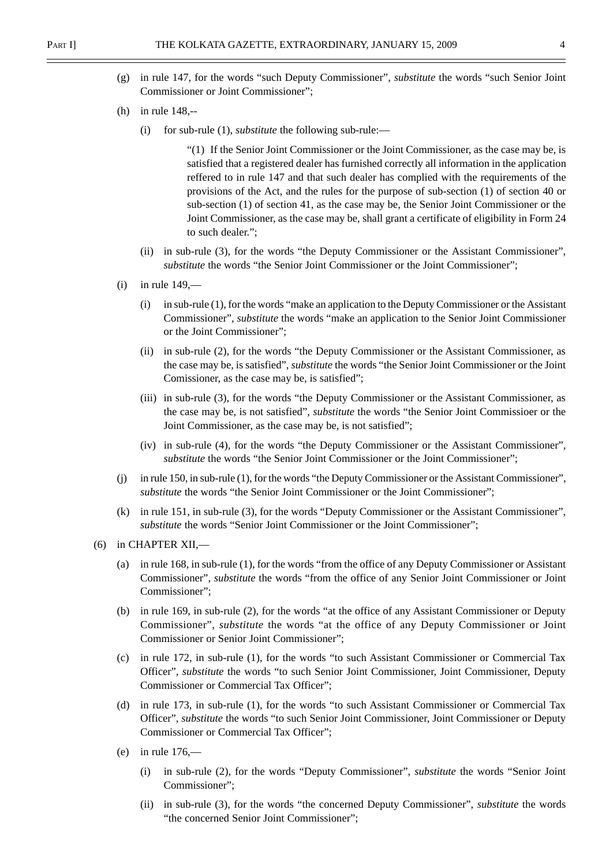- (g) in rule 147, for the words "such Deputy Commissioner", *substitute* the words "such Senior Joint Commissioner or Joint Commissioner";
- (h) in rule 148,--
	- (i) for sub-rule (1), *substitute* the following sub-rule:—

"(1) If the Senior Joint Commissioner or the Joint Commissioner, as the case may be, is satisfied that a registered dealer has furnished correctly all information in the application reffered to in rule 147 and that such dealer has complied with the requirements of the provisions of the Act, and the rules for the purpose of sub-section (1) of section 40 or sub-section (1) of section 41, as the case may be, the Senior Joint Commissioner or the Joint Commissioner, as the case may be, shall grant a certificate of eligibility in Form 24 to such dealer.";

- (ii) in sub-rule (3), for the words "the Deputy Commissioner or the Assistant Commissioner", *substitute* the words "the Senior Joint Commissioner or the Joint Commissioner";
- $(i)$  in rule 149.—
	- (i) in sub-rule (1), for the words "make an application to the Deputy Commissioner or the Assistant Commissioner", *substitute* the words "make an application to the Senior Joint Commissioner or the Joint Commissioner";
	- (ii) in sub-rule (2), for the words "the Deputy Commissioner or the Assistant Commissioner, as the case may be, is satisfied", *substitute* the words "the Senior Joint Commissioner or the Joint Comissioner, as the case may be, is satisfied";
	- (iii) in sub-rule (3), for the words "the Deputy Commissioner or the Assistant Commissioner, as the case may be, is not satisfied", *substitute* the words "the Senior Joint Commissioer or the Joint Commissioner, as the case may be, is not satisfied";
	- (iv) in sub-rule (4), for the words "the Deputy Commissioner or the Assistant Commissioner", substitute the words "the Senior Joint Commissioner or the Joint Commissioner";
- (j) in rule 150, in sub-rule (1), for the words "the Deputy Commissioner or the Assistant Commissioner", *substitute* the words "the Senior Joint Commissioner or the Joint Commissioner";
- (k) in rule 151, in sub-rule (3), for the words "Deputy Commissioner or the Assistant Commissioner", *substitute* the words "Senior Joint Commissioner or the Joint Commissioner";
- (6) in CHAPTER XII,—
	- (a) in rule 168, in sub-rule (1), for the words "from the office of any Deputy Commissioner or Assistant Commissioner", *substitute* the words "from the office of any Senior Joint Commissioner or Joint Commissioner";
	- (b) in rule 169, in sub-rule (2), for the words "at the office of any Assistant Commissioner or Deputy Commissioner", *substitute* the words "at the office of any Deputy Commissioner or Joint Commissioner or Senior Joint Commissioner";
	- (c) in rule 172, in sub-rule (1), for the words "to such Assistant Commissioner or Commercial Tax Officer", *substitute* the words "to such Senior Joint Commissioner, Joint Commissioner, Deputy Commissioner or Commercial Tax Officer";
	- (d) in rule 173, in sub-rule (1), for the words "to such Assistant Commissioner or Commercial Tax Officer", *substitute* the words "to such Senior Joint Commissioner, Joint Commissioner or Deputy Commissioner or Commercial Tax Officer";
	- (e) in rule  $176$ 
		- (i) in sub-rule (2), for the words "Deputy Commissioner", *substitute* the words "Senior Joint Commissioner";
		- (ii) in sub-rule (3), for the words "the concerned Deputy Commissioner", *substitute* the words "the concerned Senior Joint Commissioner";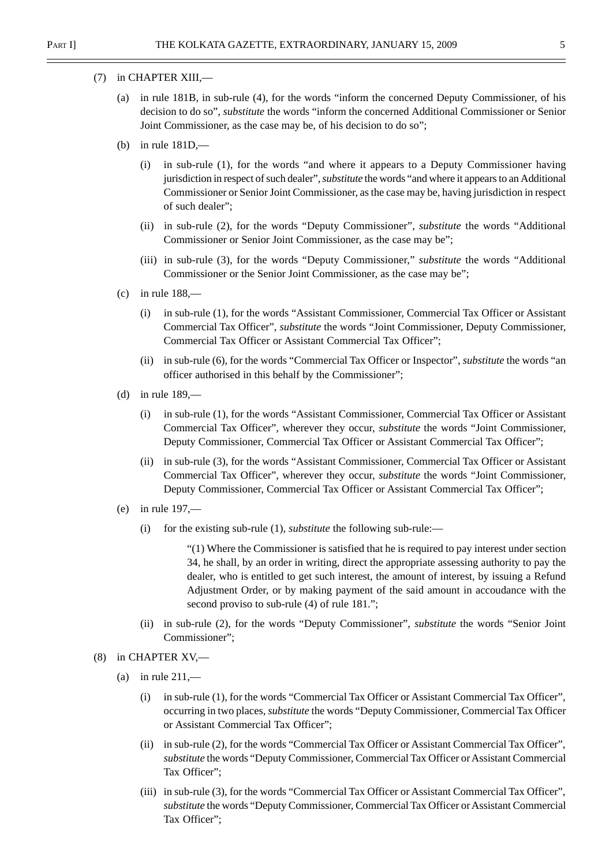- (7) in CHAPTER XIII,—
	- (a) in rule 181B, in sub-rule (4), for the words "inform the concerned Deputy Commissioner, of his decision to do so", *substitute* the words "inform the concerned Additional Commissioner or Senior Joint Commissioner, as the case may be, of his decision to do so";
	- (b) in rule 181D,—
		- (i) in sub-rule (1), for the words "and where it appears to a Deputy Commissioner having jurisdiction in respect of such dealer", *substitute* the words "and where it appears to an Additional Commissioner or Senior Joint Commissioner, as the case may be, having jurisdiction in respect of such dealer";
		- (ii) in sub-rule (2), for the words "Deputy Commissioner", *substitute* the words "Additional Commissioner or Senior Joint Commissioner, as the case may be";
		- (iii) in sub-rule (3), for the words "Deputy Commissioner," *substitute* the words "Additional Commissioner or the Senior Joint Commissioner, as the case may be";
	- $(c)$  in rule 188,—
		- (i) in sub-rule (1), for the words "Assistant Commissioner, Commercial Tax Officer or Assistant Commercial Tax Officer", *substitute* the words "Joint Commissioner, Deputy Commissioner, Commercial Tax Officer or Assistant Commercial Tax Officer";
		- (ii) in sub-rule (6), for the words "Commercial Tax Officer or Inspector", *substitute* the words "an officer authorised in this behalf by the Commissioner";
	- (d) in rule  $189$ ,—
		- (i) in sub-rule (1), for the words "Assistant Commissioner, Commercial Tax Officer or Assistant Commercial Tax Officer", wherever they occur, *substitute* the words "Joint Commissioner, Deputy Commissioner, Commercial Tax Officer or Assistant Commercial Tax Officer";
		- (ii) in sub-rule (3), for the words "Assistant Commissioner, Commercial Tax Officer or Assistant Commercial Tax Officer", wherever they occur, *substitute* the words "Joint Commissioner, Deputy Commissioner, Commercial Tax Officer or Assistant Commercial Tax Officer";
	- (e) in rule 197,—
		- (i) for the existing sub-rule (1), *substitute* the following sub-rule:—

"(1) Where the Commissioner is satisfied that he is required to pay interest under section 34, he shall, by an order in writing, direct the appropriate assessing authority to pay the dealer, who is entitled to get such interest, the amount of interest, by issuing a Refund Adjustment Order, or by making payment of the said amount in accoudance with the second proviso to sub-rule (4) of rule 181.";

- (ii) in sub-rule (2), for the words "Deputy Commissioner", *substitute* the words "Senior Joint Commissioner";
- (8) in CHAPTER XV,—
	- (a) in rule  $211$ ,—
		- (i) in sub-rule (1), for the words "Commercial Tax Officer or Assistant Commercial Tax Officer", occurring in two places, *substitute* the words "Deputy Commissioner, Commercial Tax Officer or Assistant Commercial Tax Officer";
		- (ii) in sub-rule (2), for the words "Commercial Tax Officer or Assistant Commercial Tax Officer", *substitute* the words "Deputy Commissioner, Commercial Tax Officer or Assistant Commercial Tax Officer";
		- (iii) in sub-rule (3), for the words "Commercial Tax Officer or Assistant Commercial Tax Officer", *substitute* the words "Deputy Commissioner, Commercial Tax Officer or Assistant Commercial Tax Officer";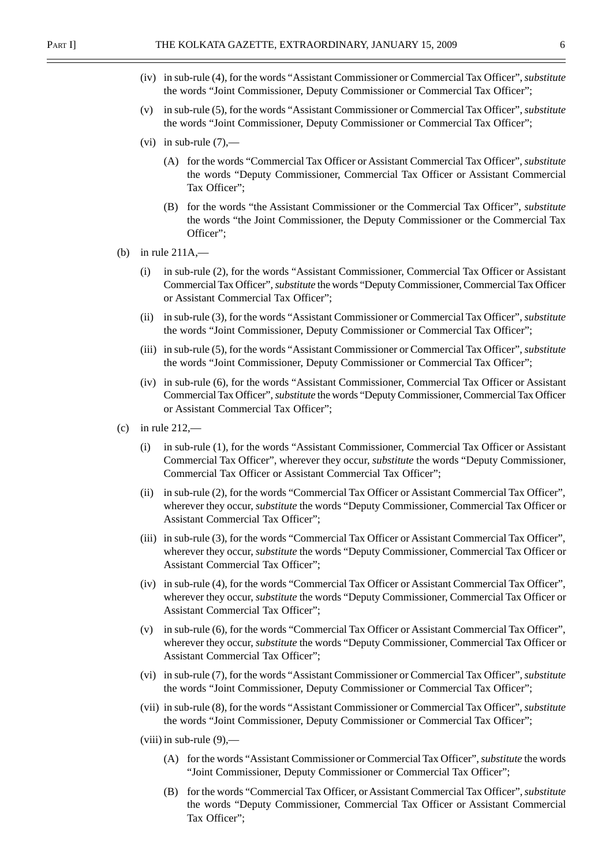- (iv) in sub-rule (4), for the words "Assistant Commissioner or Commercial Tax Officer", *substitute* the words "Joint Commissioner, Deputy Commissioner or Commercial Tax Officer";
- (v) in sub-rule (5), for the words "Assistant Commissioner or Commercial Tax Officer", *substitute* the words "Joint Commissioner, Deputy Commissioner or Commercial Tax Officer";
- (vi) in sub-rule  $(7)$ ,—
	- (A) for the words "Commercial Tax Officer or Assistant Commercial Tax Officer", *substitute* the words "Deputy Commissioner, Commercial Tax Officer or Assistant Commercial Tax Officer";
	- (B) for the words "the Assistant Commissioner or the Commercial Tax Officer", *substitute* the words "the Joint Commissioner, the Deputy Commissioner or the Commercial Tax Officer";
- (b) in rule 211A,—
	- (i) in sub-rule (2), for the words "Assistant Commissioner, Commercial Tax Officer or Assistant Commercial Tax Officer", *substitute* the words "Deputy Commissioner, Commercial Tax Officer or Assistant Commercial Tax Officer";
	- (ii) in sub-rule (3), for the words "Assistant Commissioner or Commercial Tax Officer", *substitute* the words "Joint Commissioner, Deputy Commissioner or Commercial Tax Officer";
	- (iii) in sub-rule (5), for the words "Assistant Commissioner or Commercial Tax Officer", *substitute* the words "Joint Commissioner, Deputy Commissioner or Commercial Tax Officer";
	- (iv) in sub-rule (6), for the words "Assistant Commissioner, Commercial Tax Officer or Assistant Commercial Tax Officer", *substitute* the words "Deputy Commissioner, Commercial Tax Officer or Assistant Commercial Tax Officer";
- $(c)$  in rule 212,—
	- (i) in sub-rule (1), for the words "Assistant Commissioner, Commercial Tax Officer or Assistant Commercial Tax Officer", wherever they occur, *substitute* the words "Deputy Commissioner, Commercial Tax Officer or Assistant Commercial Tax Officer";
	- (ii) in sub-rule (2), for the words "Commercial Tax Officer or Assistant Commercial Tax Officer", wherever they occur, *substitute* the words "Deputy Commissioner, Commercial Tax Officer or Assistant Commercial Tax Officer";
	- (iii) in sub-rule (3), for the words "Commercial Tax Officer or Assistant Commercial Tax Officer", wherever they occur, *substitute* the words "Deputy Commissioner, Commercial Tax Officer or Assistant Commercial Tax Officer";
	- (iv) in sub-rule (4), for the words "Commercial Tax Officer or Assistant Commercial Tax Officer", wherever they occur, *substitute* the words "Deputy Commissioner, Commercial Tax Officer or Assistant Commercial Tax Officer";
	- (v) in sub-rule (6), for the words "Commercial Tax Officer or Assistant Commercial Tax Officer", wherever they occur, *substitute* the words "Deputy Commissioner, Commercial Tax Officer or Assistant Commercial Tax Officer";
	- (vi) in sub-rule (7), for the words "Assistant Commissioner or Commercial Tax Officer", *substitute* the words "Joint Commissioner, Deputy Commissioner or Commercial Tax Officer";
	- (vii) in sub-rule (8), for the words "Assistant Commissioner or Commercial Tax Officer", *substitute* the words "Joint Commissioner, Deputy Commissioner or Commercial Tax Officer";
	- (viii) in sub-rule  $(9)$ ,—
		- (A) for the words "Assistant Commissioner or Commercial Tax Officer", *substitute* the words "Joint Commissioner, Deputy Commissioner or Commercial Tax Officer";
		- (B) for the words "Commercial Tax Officer, or Assistant Commercial Tax Officer", *substitute* the words "Deputy Commissioner, Commercial Tax Officer or Assistant Commercial Tax Officer";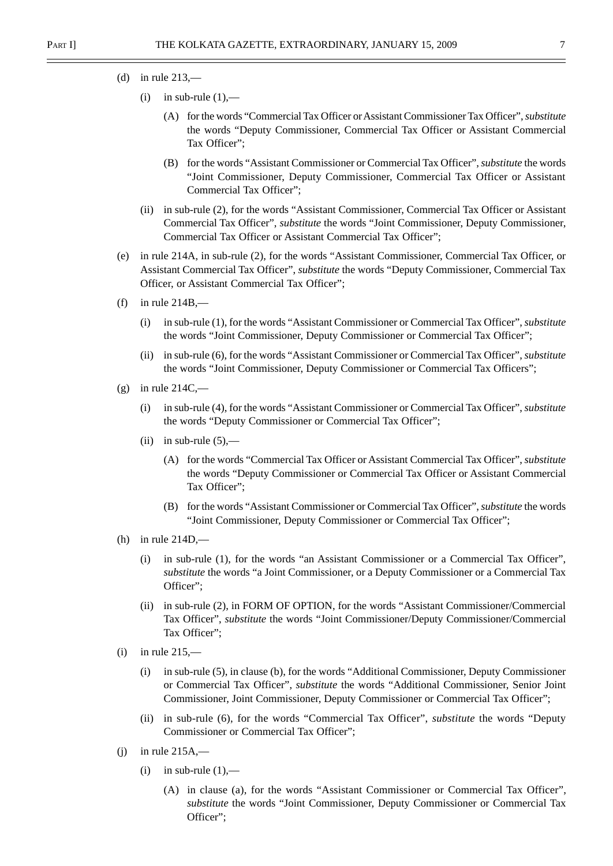- (d) in rule  $213$ ,—
	- (i) in sub-rule  $(1)$ ,—
		- (A) for the words "Commercial Tax Officer or Assistant Commissioner Tax Officer", *substitute* the words "Deputy Commissioner, Commercial Tax Officer or Assistant Commercial Tax Officer";
		- (B) for the words "Assistant Commissioner or Commercial Tax Officer", *substitute* the words "Joint Commissioner, Deputy Commissioner, Commercial Tax Officer or Assistant Commercial Tax Officer";
	- (ii) in sub-rule (2), for the words "Assistant Commissioner, Commercial Tax Officer or Assistant Commercial Tax Officer", *substitute* the words "Joint Commissioner, Deputy Commissioner, Commercial Tax Officer or Assistant Commercial Tax Officer";
- (e) in rule 214A, in sub-rule (2), for the words "Assistant Commissioner, Commercial Tax Officer, or Assistant Commercial Tax Officer", *substitute* the words "Deputy Commissioner, Commercial Tax Officer, or Assistant Commercial Tax Officer";
- (f) in rule  $214B$ ,—
	- (i) in sub-rule (1), for the words "Assistant Commissioner or Commercial Tax Officer", *substitute* the words "Joint Commissioner, Deputy Commissioner or Commercial Tax Officer";
	- (ii) in sub-rule (6), for the words "Assistant Commissioner or Commercial Tax Officer", *substitute* the words "Joint Commissioner, Deputy Commissioner or Commercial Tax Officers";
- (g) in rule  $214C$ ,—
	- (i) in sub-rule (4), for the words "Assistant Commissioner or Commercial Tax Officer", *substitute* the words "Deputy Commissioner or Commercial Tax Officer";
	- (ii) in sub-rule  $(5)$ ,—
		- (A) for the words "Commercial Tax Officer or Assistant Commercial Tax Officer", *substitute* the words "Deputy Commissioner or Commercial Tax Officer or Assistant Commercial Tax Officer";
		- (B) for the words "Assistant Commissioner or Commercial Tax Officer", *substitute* the words "Joint Commissioner, Deputy Commissioner or Commercial Tax Officer";
- (h) in rule 214D,—
	- (i) in sub-rule (1), for the words "an Assistant Commissioner or a Commercial Tax Officer", *substitute* the words "a Joint Commissioner, or a Deputy Commissioner or a Commercial Tax Officer";
	- (ii) in sub-rule (2), in FORM OF OPTION, for the words "Assistant Commissioner/Commercial Tax Officer", *substitute* the words "Joint Commissioner/Deputy Commissioner/Commercial Tax Officer";
- $(i)$  in rule 215,—
	- (i) in sub-rule (5), in clause (b), for the words "Additional Commissioner, Deputy Commissioner or Commercial Tax Officer", *substitute* the words "Additional Commissioner, Senior Joint Commissioner, Joint Commissioner, Deputy Commissioner or Commercial Tax Officer";
	- (ii) in sub-rule (6), for the words "Commercial Tax Officer", *substitute* the words "Deputy Commissioner or Commercial Tax Officer";
- $(i)$  in rule 215A,—
	- (i) in sub-rule  $(1)$ ,—
		- (A) in clause (a), for the words "Assistant Commissioner or Commercial Tax Officer", *substitute* the words "Joint Commissioner, Deputy Commissioner or Commercial Tax Officer";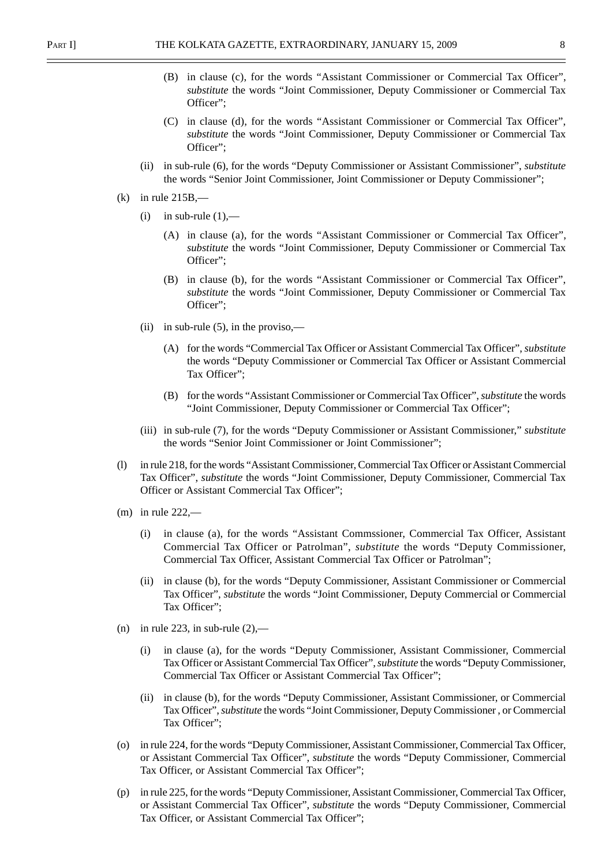- (B) in clause (c), for the words "Assistant Commissioner or Commercial Tax Officer", *substitute* the words "Joint Commissioner, Deputy Commissioner or Commercial Tax Officer";
- (C) in clause (d), for the words "Assistant Commissioner or Commercial Tax Officer", *substitute* the words "Joint Commissioner, Deputy Commissioner or Commercial Tax Officer";
- (ii) in sub-rule (6), for the words "Deputy Commissioner or Assistant Commissioner", *substitute* the words "Senior Joint Commissioner, Joint Commissioner or Deputy Commissioner";
- $(k)$  in rule 215B,—
	- (i) in sub-rule  $(1)$ ,—
		- (A) in clause (a), for the words "Assistant Commissioner or Commercial Tax Officer", *substitute* the words "Joint Commissioner, Deputy Commissioner or Commercial Tax Officer";
		- (B) in clause (b), for the words "Assistant Commissioner or Commercial Tax Officer", *substitute* the words "Joint Commissioner, Deputy Commissioner or Commercial Tax Officer";
	- (ii) in sub-rule  $(5)$ , in the proviso,—
		- (A) for the words "Commercial Tax Officer or Assistant Commercial Tax Officer", *substitute* the words "Deputy Commissioner or Commercial Tax Officer or Assistant Commercial Tax Officer";
		- (B) for the words "Assistant Commissioner or Commercial Tax Officer", *substitute* the words "Joint Commissioner, Deputy Commissioner or Commercial Tax Officer";
	- (iii) in sub-rule (7), for the words "Deputy Commissioner or Assistant Commissioner," *substitute* the words "Senior Joint Commissioner or Joint Commissioner";
- (l) in rule 218, for the words "Assistant Commissioner, Commercial Tax Officer or Assistant Commercial Tax Officer", *substitute* the words "Joint Commissioner, Deputy Commissioner, Commercial Tax Officer or Assistant Commercial Tax Officer";
- $(m)$  in rule 222,—
	- (i) in clause (a), for the words "Assistant Commssioner, Commercial Tax Officer, Assistant Commercial Tax Officer or Patrolman", *substitute* the words "Deputy Commissioner, Commercial Tax Officer, Assistant Commercial Tax Officer or Patrolman";
	- (ii) in clause (b), for the words "Deputy Commissioner, Assistant Commissioner or Commercial Tax Officer", *substitute* the words "Joint Commissioner, Deputy Commercial or Commercial Tax Officer";
- (n) in rule 223, in sub-rule  $(2)$ ,—
	- (i) in clause (a), for the words "Deputy Commissioner, Assistant Commissioner, Commercial Tax Officer or Assistant Commercial Tax Officer", *substitute* the words "Deputy Commissioner, Commercial Tax Officer or Assistant Commercial Tax Officer";
	- (ii) in clause (b), for the words "Deputy Commissioner, Assistant Commissioner, or Commercial Tax Officer", *substitute* the words "Joint Commissioner, Deputy Commissioner , or Commercial Tax Officer";
- (o) in rule 224, for the words "Deputy Commissioner, Assistant Commissioner, Commercial Tax Officer, or Assistant Commercial Tax Officer", *substitute* the words "Deputy Commissioner, Commercial Tax Officer, or Assistant Commercial Tax Officer";
- (p) in rule 225, for the words "Deputy Commissioner, Assistant Commissioner, Commercial Tax Officer, or Assistant Commercial Tax Officer", *substitute* the words "Deputy Commissioner, Commercial Tax Officer, or Assistant Commercial Tax Officer";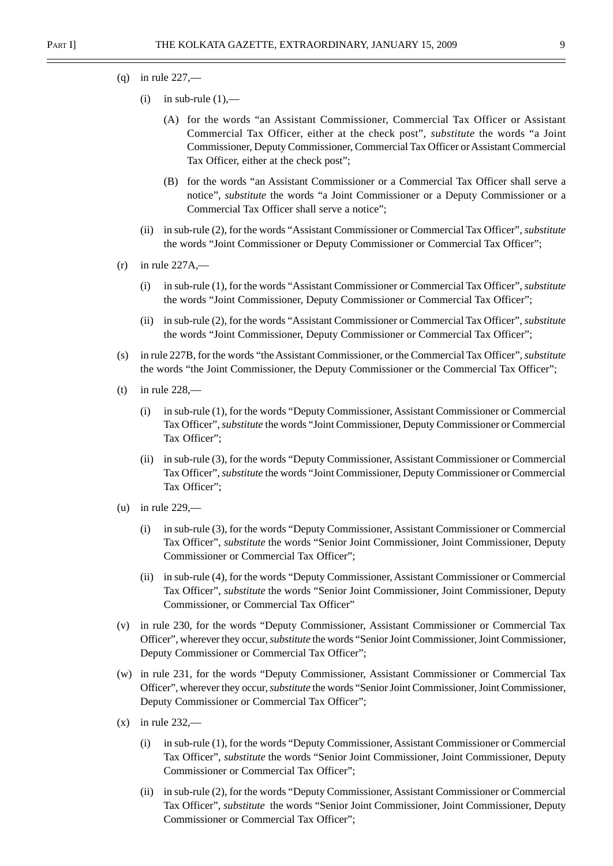- $(q)$  in rule 227,—
	- (i) in sub-rule  $(1)$ ,—
		- (A) for the words "an Assistant Commissioner, Commercial Tax Officer or Assistant Commercial Tax Officer, either at the check post", *substitute* the words "a Joint Commissioner, Deputy Commissioner, Commercial Tax Officer or Assistant Commercial Tax Officer, either at the check post";
		- (B) for the words "an Assistant Commissioner or a Commercial Tax Officer shall serve a notice", *substitute* the words "a Joint Commissioner or a Deputy Commissioner or a Commercial Tax Officer shall serve a notice";
	- (ii) in sub-rule (2), for the words "Assistant Commissioner or Commercial Tax Officer", *substitute* the words "Joint Commissioner or Deputy Commissioner or Commercial Tax Officer";
- $(r)$  in rule 227A,—
	- (i) in sub-rule (1), for the words "Assistant Commissioner or Commercial Tax Officer", *substitute* the words "Joint Commissioner, Deputy Commissioner or Commercial Tax Officer";
	- (ii) in sub-rule (2), for the words "Assistant Commissioner or Commercial Tax Officer", *substitute* the words "Joint Commissioner, Deputy Commissioner or Commercial Tax Officer";
- (s) in rule 227B, for the words "the Assistant Commissioner, or the Commercial Tax Officer", *substitute* the words "the Joint Commissioner, the Deputy Commissioner or the Commercial Tax Officer";
- (t) in rule  $228$ ,—
	- (i) in sub-rule (1), for the words "Deputy Commissioner, Assistant Commissioner or Commercial Tax Officer", *substitute* the words "Joint Commissioner, Deputy Commissioner or Commercial Tax Officer";
	- (ii) in sub-rule (3), for the words "Deputy Commissioner, Assistant Commissioner or Commercial Tax Officer", *substitute* the words "Joint Commissioner, Deputy Commissioner or Commercial Tax Officer";
- (u) in rule 229,—
	- (i) in sub-rule (3), for the words "Deputy Commissioner, Assistant Commissioner or Commercial Tax Officer", *substitute* the words "Senior Joint Commissioner, Joint Commissioner, Deputy Commissioner or Commercial Tax Officer";
	- (ii) in sub-rule (4), for the words "Deputy Commissioner, Assistant Commissioner or Commercial Tax Officer", *substitute* the words "Senior Joint Commissioner, Joint Commissioner, Deputy Commissioner, or Commercial Tax Officer"
- (v) in rule 230, for the words "Deputy Commissioner, Assistant Commissioner or Commercial Tax Officer", wherever they occur, *substitute* the words "Senior Joint Commissioner, Joint Commissioner, Deputy Commissioner or Commercial Tax Officer";
- (w) in rule 231, for the words "Deputy Commissioner, Assistant Commissioner or Commercial Tax Officer", wherever they occur, *substitute* the words "Senior Joint Commissioner, Joint Commissioner, Deputy Commissioner or Commercial Tax Officer";
- $(x)$  in rule 232,—
	- (i) in sub-rule (1), for the words "Deputy Commissioner, Assistant Commissioner or Commercial Tax Officer", *substitute* the words "Senior Joint Commissioner, Joint Commissioner, Deputy Commissioner or Commercial Tax Officer";
	- (ii) in sub-rule (2), for the words "Deputy Commissioner, Assistant Commissioner or Commercial Tax Officer", *substitute* the words "Senior Joint Commissioner, Joint Commissioner, Deputy Commissioner or Commercial Tax Officer";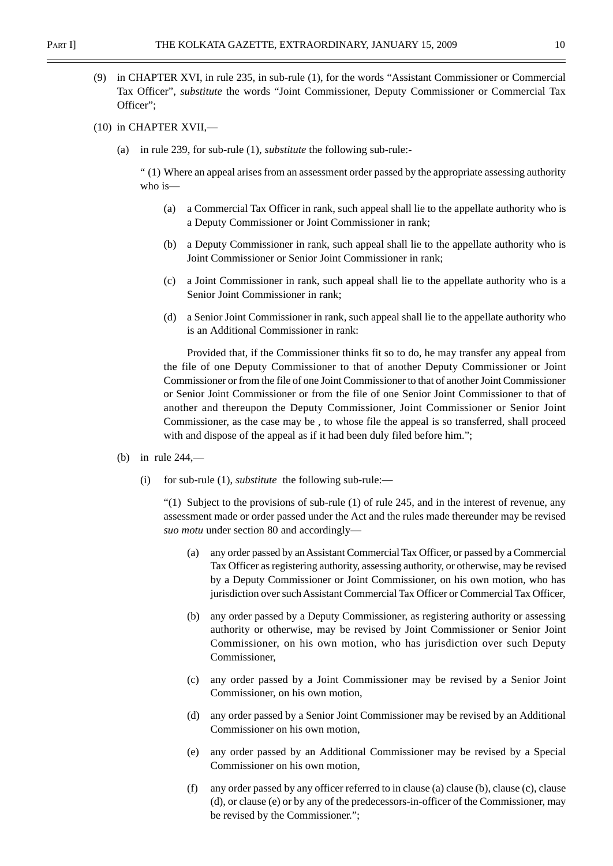- (9) in CHAPTER XVI, in rule 235, in sub-rule (1), for the words "Assistant Commissioner or Commercial Tax Officer", *substitute* the words "Joint Commissioner, Deputy Commissioner or Commercial Tax Officer";
- (10) in CHAPTER XVII,—
	- (a) in rule 239, for sub-rule (1), *substitute* the following sub-rule:-

" (1) Where an appeal arises from an assessment order passed by the appropriate assessing authority who is—

- (a) a Commercial Tax Officer in rank, such appeal shall lie to the appellate authority who is a Deputy Commissioner or Joint Commissioner in rank;
- (b) a Deputy Commissioner in rank, such appeal shall lie to the appellate authority who is Joint Commissioner or Senior Joint Commissioner in rank;
- (c) a Joint Commissioner in rank, such appeal shall lie to the appellate authority who is a Senior Joint Commissioner in rank;
- (d) a Senior Joint Commissioner in rank, such appeal shall lie to the appellate authority who is an Additional Commissioner in rank:

Provided that, if the Commissioner thinks fit so to do, he may transfer any appeal from the file of one Deputy Commissioner to that of another Deputy Commissioner or Joint Commissioner or from the file of one Joint Commissioner to that of another Joint Commissioner or Senior Joint Commissioner or from the file of one Senior Joint Commissioner to that of another and thereupon the Deputy Commissioner, Joint Commissioner or Senior Joint Commissioner, as the case may be , to whose file the appeal is so transferred, shall proceed with and dispose of the appeal as if it had been duly filed before him.";

- (b) in rule 244,—
	- (i) for sub-rule (1), *substitute* the following sub-rule:—

 $\degree$ (1) Subject to the provisions of sub-rule (1) of rule 245, and in the interest of revenue, any assessment made or order passed under the Act and the rules made thereunder may be revised *suo motu* under section 80 and accordingly—

- (a) any order passed by an Assistant Commercial Tax Officer, or passed by a Commercial Tax Officer as registering authority, assessing authority, or otherwise, may be revised by a Deputy Commissioner or Joint Commissioner, on his own motion, who has jurisdiction over such Assistant Commercial Tax Officer or Commercial Tax Officer,
- (b) any order passed by a Deputy Commissioner, as registering authority or assessing authority or otherwise, may be revised by Joint Commissioner or Senior Joint Commissioner, on his own motion, who has jurisdiction over such Deputy Commissioner,
- (c) any order passed by a Joint Commissioner may be revised by a Senior Joint Commissioner, on his own motion,
- (d) any order passed by a Senior Joint Commissioner may be revised by an Additional Commissioner on his own motion,
- (e) any order passed by an Additional Commissioner may be revised by a Special Commissioner on his own motion,
- (f) any order passed by any officer referred to in clause (a) clause (b), clause (c), clause (d), or clause (e) or by any of the predecessors-in-officer of the Commissioner, may be revised by the Commissioner.";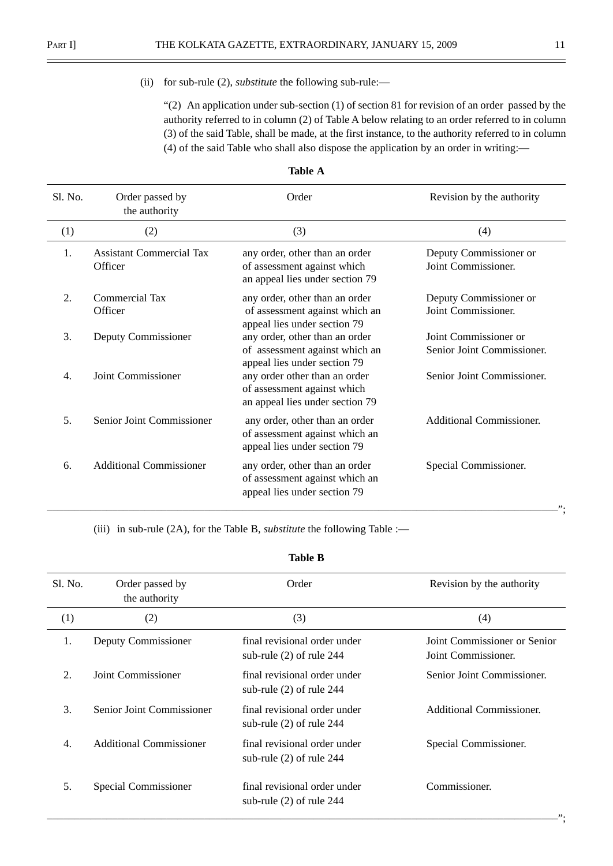$\equiv$ 

#### (ii) for sub-rule (2), *substitute* the following sub-rule:—

"(2) An application under sub-section  $(1)$  of section 81 for revision of an order passed by the authority referred to in column (2) of Table A below relating to an order referred to in column (3) of the said Table, shall be made, at the first instance, to the authority referred to in column (4) of the said Table who shall also dispose the application by an order in writing:—

| S1. No. | Order passed by<br>the authority           | Order                                                                                            | Revision by the authority                           |
|---------|--------------------------------------------|--------------------------------------------------------------------------------------------------|-----------------------------------------------------|
| (1)     | (2)                                        | (3)                                                                                              | (4)                                                 |
| 1.      | <b>Assistant Commercial Tax</b><br>Officer | any order, other than an order<br>of assessment against which<br>an appeal lies under section 79 | Deputy Commissioner or<br>Joint Commissioner.       |
| 2.      | Commercial Tax<br>Officer                  | any order, other than an order<br>of assessment against which an<br>appeal lies under section 79 | Deputy Commissioner or<br>Joint Commissioner.       |
| 3.      | Deputy Commissioner                        | any order, other than an order<br>of assessment against which an<br>appeal lies under section 79 | Joint Commissioner or<br>Senior Joint Commissioner. |
| 4.      | Joint Commissioner                         | any order other than an order<br>of assessment against which<br>an appeal lies under section 79  | Senior Joint Commissioner.                          |
| 5.      | Senior Joint Commissioner                  | any order, other than an order<br>of assessment against which an<br>appeal lies under section 79 | Additional Commissioner.                            |
| 6.      | <b>Additional Commissioner</b>             | any order, other than an order<br>of assessment against which an<br>appeal lies under section 79 | Special Commissioner.                               |

| able |  |
|------|--|
|------|--|

(iii) in sub-rule (2A), for the Table B, *substitute* the following Table :—

### **Table B**

| Sl. No. | Order passed by<br>the authority | Order                                                      | Revision by the authority                           |
|---------|----------------------------------|------------------------------------------------------------|-----------------------------------------------------|
| (1)     | (2)                              | (3)                                                        | (4)                                                 |
| 1.      | Deputy Commissioner              | final revisional order under<br>sub-rule $(2)$ of rule 244 | Joint Commissioner or Senior<br>Joint Commissioner. |
| 2.      | Joint Commissioner               | final revisional order under<br>sub-rule $(2)$ of rule 244 | Senior Joint Commissioner.                          |
| 3.      | Senior Joint Commissioner        | final revisional order under<br>sub-rule $(2)$ of rule 244 | Additional Commissioner.                            |
| 4.      | <b>Additional Commissioner</b>   | final revisional order under<br>sub-rule $(2)$ of rule 244 | Special Commissioner.                               |
| 5.      | Special Commissioner             | final revisional order under<br>sub-rule (2) of rule 244   | Commissioner.<br>".                                 |